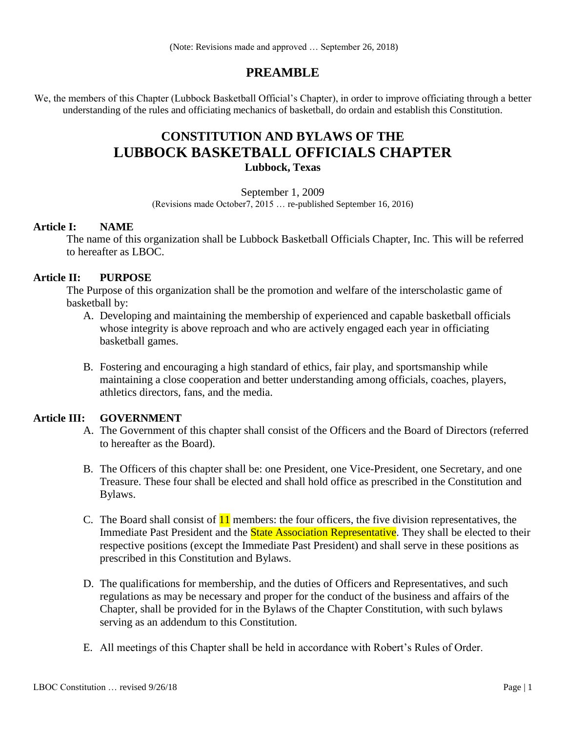(Note: Revisions made and approved … September 26, 2018)

# **PREAMBLE**

We, the members of this Chapter (Lubbock Basketball Official's Chapter), in order to improve officiating through a better understanding of the rules and officiating mechanics of basketball, do ordain and establish this Constitution.

# **CONSTITUTION AND BYLAWS OF THE LUBBOCK BASKETBALL OFFICIALS CHAPTER Lubbock, Texas**

September 1, 2009

(Revisions made October7, 2015 … re-published September 16, 2016)

# **Article I: NAME**

The name of this organization shall be Lubbock Basketball Officials Chapter, Inc. This will be referred to hereafter as LBOC.

# **Article II: PURPOSE**

The Purpose of this organization shall be the promotion and welfare of the interscholastic game of basketball by:

- A. Developing and maintaining the membership of experienced and capable basketball officials whose integrity is above reproach and who are actively engaged each year in officiating basketball games.
- B. Fostering and encouraging a high standard of ethics, fair play, and sportsmanship while maintaining a close cooperation and better understanding among officials, coaches, players, athletics directors, fans, and the media.

# **Article III: GOVERNMENT**

- A. The Government of this chapter shall consist of the Officers and the Board of Directors (referred to hereafter as the Board).
- B. The Officers of this chapter shall be: one President, one Vice-President, one Secretary, and one Treasure. These four shall be elected and shall hold office as prescribed in the Constitution and Bylaws.
- C. The Board shall consist of  $11$  members: the four officers, the five division representatives, the Immediate Past President and the **State Association Representative**. They shall be elected to their respective positions (except the Immediate Past President) and shall serve in these positions as prescribed in this Constitution and Bylaws.
- D. The qualifications for membership, and the duties of Officers and Representatives, and such regulations as may be necessary and proper for the conduct of the business and affairs of the Chapter, shall be provided for in the Bylaws of the Chapter Constitution, with such bylaws serving as an addendum to this Constitution.
- E. All meetings of this Chapter shall be held in accordance with Robert's Rules of Order.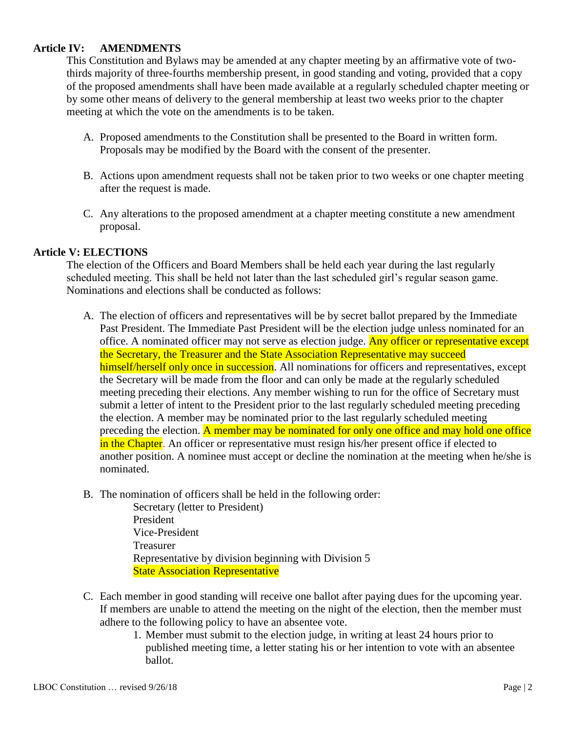## **Article IV: AMENDMENTS**

This Constitution and Bylaws may be amended at any chapter meeting by an affirmative vote of twothirds majority of three-fourths membership present, in good standing and voting, provided that a copy of the proposed amendments shall have been made available at a regularly scheduled chapter meeting or by some other means of delivery to the general membership at least two weeks prior to the chapter meeting at which the vote on the amendments is to be taken.

- A. Proposed amendments to the Constitution shall be presented to the Board in written form. Proposals may be modified by the Board with the consent of the presenter.
- B. Actions upon amendment requests shall not be taken prior to two weeks or one chapter meeting after the request is made.
- C. Any alterations to the proposed amendment at a chapter meeting constitute a new amendment proposal.

### **Article V: ELECTIONS**

The election of the Officers and Board Members shall be held each year during the last regularly scheduled meeting. This shall be held not later than the last scheduled girl's regular season game. Nominations and elections shall be conducted as follows:

- A. The election of officers and representatives will be by secret ballot prepared by the Immediate Past President. The Immediate Past President will be the election judge unless nominated for an office. A nominated officer may not serve as election judge. Any officer or representative except the Secretary, the Treasurer and the State Association Representative may succeed himself/herself only once in succession. All nominations for officers and representatives, except the Secretary will be made from the floor and can only be made at the regularly scheduled meeting preceding their elections. Any member wishing to run for the office of Secretary must submit a letter of intent to the President prior to the last regularly scheduled meeting preceding the election. A member may be nominated prior to the last regularly scheduled meeting preceding the election. A member may be nominated for only one office and may hold one office in the Chapter. An officer or representative must resign his/her present office if elected to another position. A nominee must accept or decline the nomination at the meeting when he/she is nominated.
- B. The nomination of officers shall be held in the following order:

Secretary (letter to President) President Vice-President Treasurer Representative by division beginning with Division 5 **State Association Representative** 

- C. Each member in good standing will receive one ballot after paying dues for the upcoming year. If members are unable to attend the meeting on the night of the election, then the member must adhere to the following policy to have an absentee vote.
	- 1. Member must submit to the election judge, in writing at least 24 hours prior to published meeting time, a letter stating his or her intention to vote with an absentee ballot.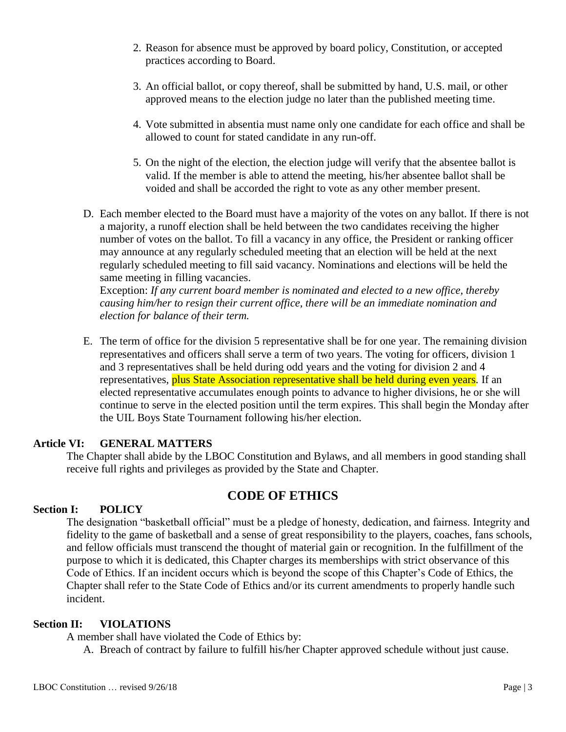- 2. Reason for absence must be approved by board policy, Constitution, or accepted practices according to Board.
- 3. An official ballot, or copy thereof, shall be submitted by hand, U.S. mail, or other approved means to the election judge no later than the published meeting time.
- 4. Vote submitted in absentia must name only one candidate for each office and shall be allowed to count for stated candidate in any run-off.
- 5. On the night of the election, the election judge will verify that the absentee ballot is valid. If the member is able to attend the meeting, his/her absentee ballot shall be voided and shall be accorded the right to vote as any other member present.
- D. Each member elected to the Board must have a majority of the votes on any ballot. If there is not a majority, a runoff election shall be held between the two candidates receiving the higher number of votes on the ballot. To fill a vacancy in any office, the President or ranking officer may announce at any regularly scheduled meeting that an election will be held at the next regularly scheduled meeting to fill said vacancy. Nominations and elections will be held the same meeting in filling vacancies.

Exception: *If any current board member is nominated and elected to a new office, thereby causing him/her to resign their current office, there will be an immediate nomination and election for balance of their term.*

E. The term of office for the division 5 representative shall be for one year. The remaining division representatives and officers shall serve a term of two years. The voting for officers, division 1 and 3 representatives shall be held during odd years and the voting for division 2 and 4 representatives, plus State Association representative shall be held during even years. If an elected representative accumulates enough points to advance to higher divisions, he or she will continue to serve in the elected position until the term expires. This shall begin the Monday after the UIL Boys State Tournament following his/her election.

# **Article VI: GENERAL MATTERS**

The Chapter shall abide by the LBOC Constitution and Bylaws, and all members in good standing shall receive full rights and privileges as provided by the State and Chapter.

# **CODE OF ETHICS**

# **Section I: POLICY**

The designation "basketball official" must be a pledge of honesty, dedication, and fairness. Integrity and fidelity to the game of basketball and a sense of great responsibility to the players, coaches, fans schools, and fellow officials must transcend the thought of material gain or recognition. In the fulfillment of the purpose to which it is dedicated, this Chapter charges its memberships with strict observance of this Code of Ethics. If an incident occurs which is beyond the scope of this Chapter's Code of Ethics, the Chapter shall refer to the State Code of Ethics and/or its current amendments to properly handle such incident.

# **Section II: VIOLATIONS**

A member shall have violated the Code of Ethics by:

A. Breach of contract by failure to fulfill his/her Chapter approved schedule without just cause.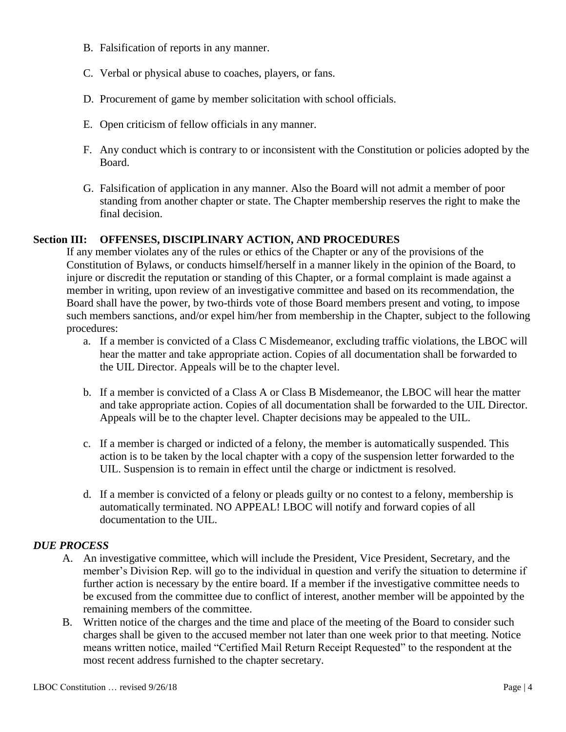- B. Falsification of reports in any manner.
- C. Verbal or physical abuse to coaches, players, or fans.
- D. Procurement of game by member solicitation with school officials.
- E. Open criticism of fellow officials in any manner.
- F. Any conduct which is contrary to or inconsistent with the Constitution or policies adopted by the Board.
- G. Falsification of application in any manner. Also the Board will not admit a member of poor standing from another chapter or state. The Chapter membership reserves the right to make the final decision.

# **Section III: OFFENSES, DISCIPLINARY ACTION, AND PROCEDURES**

If any member violates any of the rules or ethics of the Chapter or any of the provisions of the Constitution of Bylaws, or conducts himself/herself in a manner likely in the opinion of the Board, to injure or discredit the reputation or standing of this Chapter, or a formal complaint is made against a member in writing, upon review of an investigative committee and based on its recommendation, the Board shall have the power, by two-thirds vote of those Board members present and voting, to impose such members sanctions, and/or expel him/her from membership in the Chapter, subject to the following procedures:

- a. If a member is convicted of a Class C Misdemeanor, excluding traffic violations, the LBOC will hear the matter and take appropriate action. Copies of all documentation shall be forwarded to the UIL Director. Appeals will be to the chapter level.
- b. If a member is convicted of a Class A or Class B Misdemeanor, the LBOC will hear the matter and take appropriate action. Copies of all documentation shall be forwarded to the UIL Director. Appeals will be to the chapter level. Chapter decisions may be appealed to the UIL.
- c. If a member is charged or indicted of a felony, the member is automatically suspended. This action is to be taken by the local chapter with a copy of the suspension letter forwarded to the UIL. Suspension is to remain in effect until the charge or indictment is resolved.
- d. If a member is convicted of a felony or pleads guilty or no contest to a felony, membership is automatically terminated. NO APPEAL! LBOC will notify and forward copies of all documentation to the UIL.

# *DUE PROCESS*

- A. An investigative committee, which will include the President, Vice President, Secretary, and the member's Division Rep. will go to the individual in question and verify the situation to determine if further action is necessary by the entire board. If a member if the investigative committee needs to be excused from the committee due to conflict of interest, another member will be appointed by the remaining members of the committee.
- B. Written notice of the charges and the time and place of the meeting of the Board to consider such charges shall be given to the accused member not later than one week prior to that meeting. Notice means written notice, mailed "Certified Mail Return Receipt Requested" to the respondent at the most recent address furnished to the chapter secretary.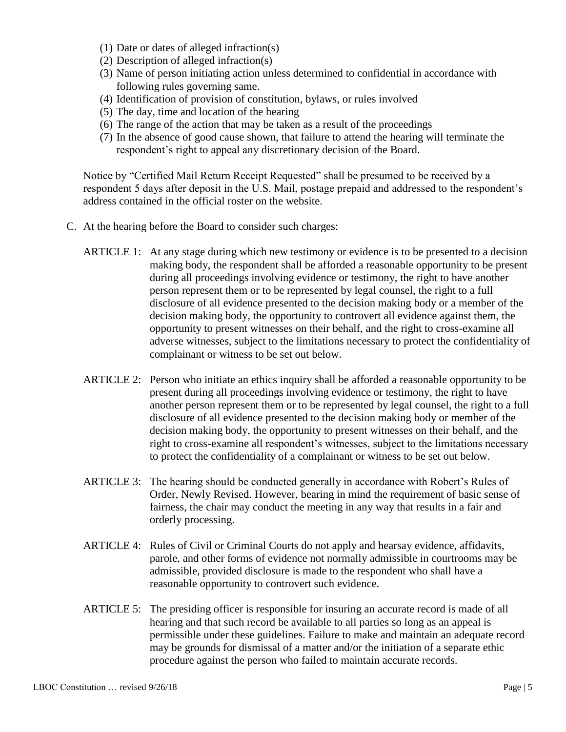- (1) Date or dates of alleged infraction(s)
- (2) Description of alleged infraction(s)
- (3) Name of person initiating action unless determined to confidential in accordance with following rules governing same.
- (4) Identification of provision of constitution, bylaws, or rules involved
- (5) The day, time and location of the hearing
- (6) The range of the action that may be taken as a result of the proceedings
- (7) In the absence of good cause shown, that failure to attend the hearing will terminate the respondent's right to appeal any discretionary decision of the Board.

Notice by "Certified Mail Return Receipt Requested" shall be presumed to be received by a respondent 5 days after deposit in the U.S. Mail, postage prepaid and addressed to the respondent's address contained in the official roster on the website.

- C. At the hearing before the Board to consider such charges:
	- ARTICLE 1: At any stage during which new testimony or evidence is to be presented to a decision making body, the respondent shall be afforded a reasonable opportunity to be present during all proceedings involving evidence or testimony, the right to have another person represent them or to be represented by legal counsel, the right to a full disclosure of all evidence presented to the decision making body or a member of the decision making body, the opportunity to controvert all evidence against them, the opportunity to present witnesses on their behalf, and the right to cross-examine all adverse witnesses, subject to the limitations necessary to protect the confidentiality of complainant or witness to be set out below.
	- ARTICLE 2: Person who initiate an ethics inquiry shall be afforded a reasonable opportunity to be present during all proceedings involving evidence or testimony, the right to have another person represent them or to be represented by legal counsel, the right to a full disclosure of all evidence presented to the decision making body or member of the decision making body, the opportunity to present witnesses on their behalf, and the right to cross-examine all respondent's witnesses, subject to the limitations necessary to protect the confidentiality of a complainant or witness to be set out below.
	- ARTICLE 3: The hearing should be conducted generally in accordance with Robert's Rules of Order, Newly Revised. However, bearing in mind the requirement of basic sense of fairness, the chair may conduct the meeting in any way that results in a fair and orderly processing.
	- ARTICLE 4: Rules of Civil or Criminal Courts do not apply and hearsay evidence, affidavits, parole, and other forms of evidence not normally admissible in courtrooms may be admissible, provided disclosure is made to the respondent who shall have a reasonable opportunity to controvert such evidence.
	- ARTICLE 5: The presiding officer is responsible for insuring an accurate record is made of all hearing and that such record be available to all parties so long as an appeal is permissible under these guidelines. Failure to make and maintain an adequate record may be grounds for dismissal of a matter and/or the initiation of a separate ethic procedure against the person who failed to maintain accurate records.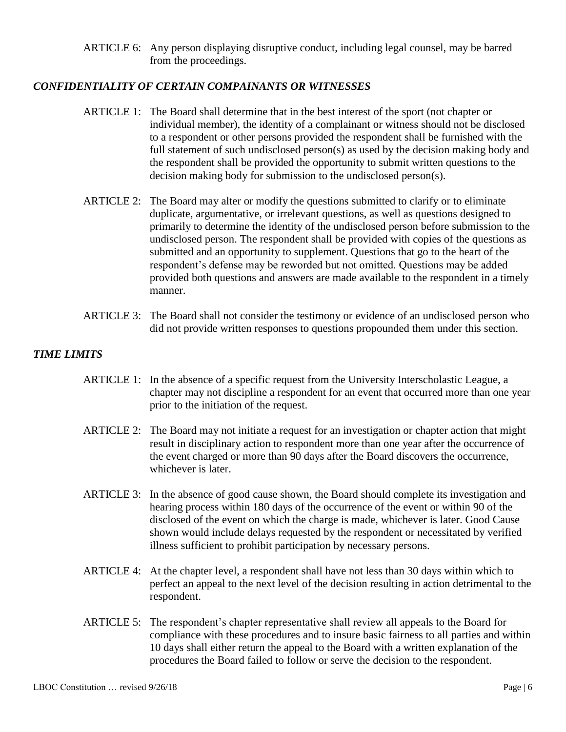ARTICLE 6: Any person displaying disruptive conduct, including legal counsel, may be barred from the proceedings.

# *CONFIDENTIALITY OF CERTAIN COMPAINANTS OR WITNESSES*

- ARTICLE 1: The Board shall determine that in the best interest of the sport (not chapter or individual member), the identity of a complainant or witness should not be disclosed to a respondent or other persons provided the respondent shall be furnished with the full statement of such undisclosed person(s) as used by the decision making body and the respondent shall be provided the opportunity to submit written questions to the decision making body for submission to the undisclosed person(s).
- ARTICLE 2: The Board may alter or modify the questions submitted to clarify or to eliminate duplicate, argumentative, or irrelevant questions, as well as questions designed to primarily to determine the identity of the undisclosed person before submission to the undisclosed person. The respondent shall be provided with copies of the questions as submitted and an opportunity to supplement. Questions that go to the heart of the respondent's defense may be reworded but not omitted. Questions may be added provided both questions and answers are made available to the respondent in a timely manner.
- ARTICLE 3: The Board shall not consider the testimony or evidence of an undisclosed person who did not provide written responses to questions propounded them under this section.

# *TIME LIMITS*

- ARTICLE 1: In the absence of a specific request from the University Interscholastic League, a chapter may not discipline a respondent for an event that occurred more than one year prior to the initiation of the request.
- ARTICLE 2: The Board may not initiate a request for an investigation or chapter action that might result in disciplinary action to respondent more than one year after the occurrence of the event charged or more than 90 days after the Board discovers the occurrence, whichever is later.
- ARTICLE 3: In the absence of good cause shown, the Board should complete its investigation and hearing process within 180 days of the occurrence of the event or within 90 of the disclosed of the event on which the charge is made, whichever is later. Good Cause shown would include delays requested by the respondent or necessitated by verified illness sufficient to prohibit participation by necessary persons.
- ARTICLE 4: At the chapter level, a respondent shall have not less than 30 days within which to perfect an appeal to the next level of the decision resulting in action detrimental to the respondent.
- ARTICLE 5: The respondent's chapter representative shall review all appeals to the Board for compliance with these procedures and to insure basic fairness to all parties and within 10 days shall either return the appeal to the Board with a written explanation of the procedures the Board failed to follow or serve the decision to the respondent.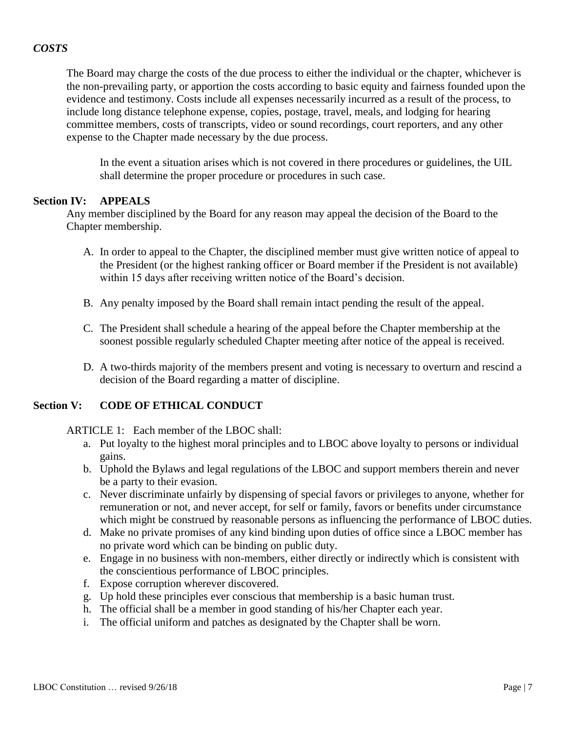# *COSTS*

The Board may charge the costs of the due process to either the individual or the chapter, whichever is the non-prevailing party, or apportion the costs according to basic equity and fairness founded upon the evidence and testimony. Costs include all expenses necessarily incurred as a result of the process, to include long distance telephone expense, copies, postage, travel, meals, and lodging for hearing committee members, costs of transcripts, video or sound recordings, court reporters, and any other expense to the Chapter made necessary by the due process.

In the event a situation arises which is not covered in there procedures or guidelines, the UIL shall determine the proper procedure or procedures in such case.

#### **Section IV: APPEALS**

Any member disciplined by the Board for any reason may appeal the decision of the Board to the Chapter membership.

- A. In order to appeal to the Chapter, the disciplined member must give written notice of appeal to the President (or the highest ranking officer or Board member if the President is not available) within 15 days after receiving written notice of the Board's decision.
- B. Any penalty imposed by the Board shall remain intact pending the result of the appeal.
- C. The President shall schedule a hearing of the appeal before the Chapter membership at the soonest possible regularly scheduled Chapter meeting after notice of the appeal is received.
- D. A two-thirds majority of the members present and voting is necessary to overturn and rescind a decision of the Board regarding a matter of discipline.

# **Section V: CODE OF ETHICAL CONDUCT**

ARTICLE 1: Each member of the LBOC shall:

- a. Put loyalty to the highest moral principles and to LBOC above loyalty to persons or individual gains.
- b. Uphold the Bylaws and legal regulations of the LBOC and support members therein and never be a party to their evasion.
- c. Never discriminate unfairly by dispensing of special favors or privileges to anyone, whether for remuneration or not, and never accept, for self or family, favors or benefits under circumstance which might be construed by reasonable persons as influencing the performance of LBOC duties.
- d. Make no private promises of any kind binding upon duties of office since a LBOC member has no private word which can be binding on public duty.
- e. Engage in no business with non-members, either directly or indirectly which is consistent with the conscientious performance of LBOC principles.
- f. Expose corruption wherever discovered.
- g. Up hold these principles ever conscious that membership is a basic human trust.
- h. The official shall be a member in good standing of his/her Chapter each year.
- i. The official uniform and patches as designated by the Chapter shall be worn.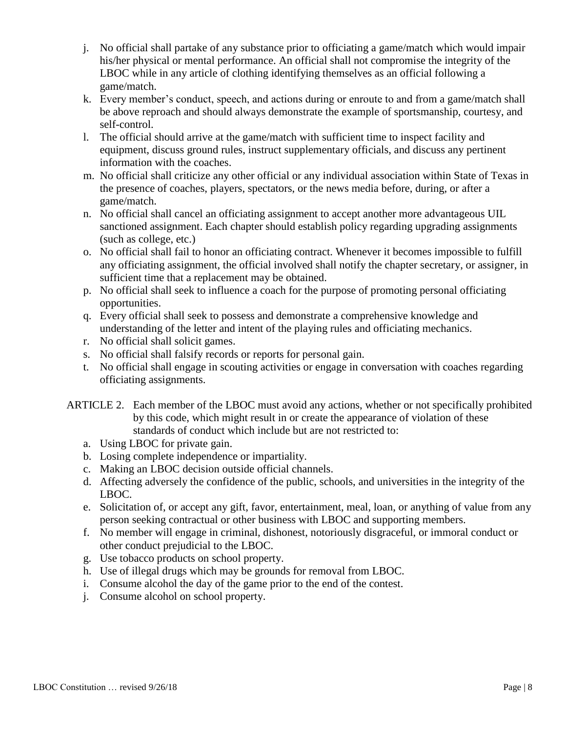- j. No official shall partake of any substance prior to officiating a game/match which would impair his/her physical or mental performance. An official shall not compromise the integrity of the LBOC while in any article of clothing identifying themselves as an official following a game/match.
- k. Every member's conduct, speech, and actions during or enroute to and from a game/match shall be above reproach and should always demonstrate the example of sportsmanship, courtesy, and self-control.
- l. The official should arrive at the game/match with sufficient time to inspect facility and equipment, discuss ground rules, instruct supplementary officials, and discuss any pertinent information with the coaches.
- m. No official shall criticize any other official or any individual association within State of Texas in the presence of coaches, players, spectators, or the news media before, during, or after a game/match.
- n. No official shall cancel an officiating assignment to accept another more advantageous UIL sanctioned assignment. Each chapter should establish policy regarding upgrading assignments (such as college, etc.)
- o. No official shall fail to honor an officiating contract. Whenever it becomes impossible to fulfill any officiating assignment, the official involved shall notify the chapter secretary, or assigner, in sufficient time that a replacement may be obtained.
- p. No official shall seek to influence a coach for the purpose of promoting personal officiating opportunities.
- q. Every official shall seek to possess and demonstrate a comprehensive knowledge and understanding of the letter and intent of the playing rules and officiating mechanics.
- r. No official shall solicit games.
- s. No official shall falsify records or reports for personal gain.
- t. No official shall engage in scouting activities or engage in conversation with coaches regarding officiating assignments.
- ARTICLE 2. Each member of the LBOC must avoid any actions, whether or not specifically prohibited by this code, which might result in or create the appearance of violation of these standards of conduct which include but are not restricted to:
	- a. Using LBOC for private gain.
	- b. Losing complete independence or impartiality.
	- c. Making an LBOC decision outside official channels.
	- d. Affecting adversely the confidence of the public, schools, and universities in the integrity of the LBOC.
	- e. Solicitation of, or accept any gift, favor, entertainment, meal, loan, or anything of value from any person seeking contractual or other business with LBOC and supporting members.
	- f. No member will engage in criminal, dishonest, notoriously disgraceful, or immoral conduct or other conduct prejudicial to the LBOC.
	- g. Use tobacco products on school property.
	- h. Use of illegal drugs which may be grounds for removal from LBOC.
	- i. Consume alcohol the day of the game prior to the end of the contest.
	- j. Consume alcohol on school property.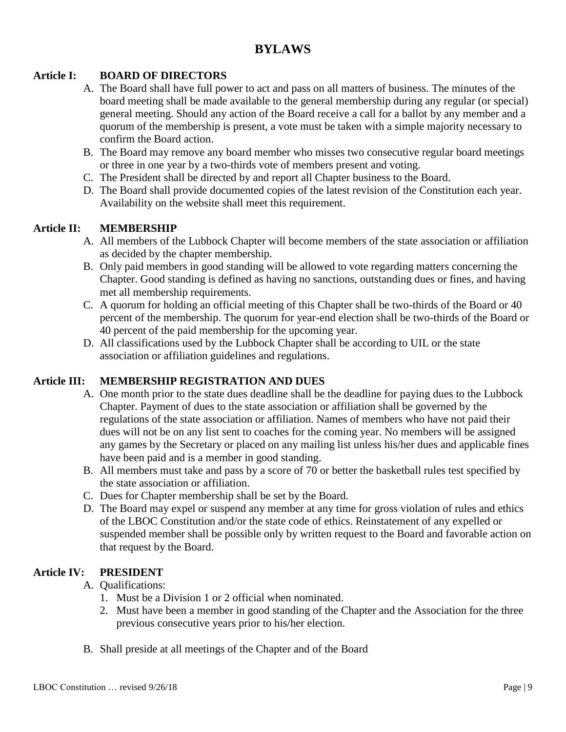# **BYLAWS**

# **Article I: BOARD OF DIRECTORS**

- A. The Board shall have full power to act and pass on all matters of business. The minutes of the board meeting shall be made available to the general membership during any regular (or special) general meeting. Should any action of the Board receive a call for a ballot by any member and a quorum of the membership is present, a vote must be taken with a simple majority necessary to confirm the Board action.
- B. The Board may remove any board member who misses two consecutive regular board meetings or three in one year by a two-thirds vote of members present and voting.
- C. The President shall be directed by and report all Chapter business to the Board.
- D. The Board shall provide documented copies of the latest revision of the Constitution each year. Availability on the website shall meet this requirement.

# **Article II: MEMBERSHIP**

- A. All members of the Lubbock Chapter will become members of the state association or affiliation as decided by the chapter membership.
- B. Only paid members in good standing will be allowed to vote regarding matters concerning the Chapter. Good standing is defined as having no sanctions, outstanding dues or fines, and having met all membership requirements.
- C. A quorum for holding an official meeting of this Chapter shall be two-thirds of the Board or 40 percent of the membership. The quorum for year-end election shall be two-thirds of the Board or 40 percent of the paid membership for the upcoming year.
- D. All classifications used by the Lubbock Chapter shall be according to UIL or the state association or affiliation guidelines and regulations.

# **Article III: MEMBERSHIP REGISTRATION AND DUES**

- A. One month prior to the state dues deadline shall be the deadline for paying dues to the Lubbock Chapter. Payment of dues to the state association or affiliation shall be governed by the regulations of the state association or affiliation. Names of members who have not paid their dues will not be on any list sent to coaches for the coming year. No members will be assigned any games by the Secretary or placed on any mailing list unless his/her dues and applicable fines have been paid and is a member in good standing.
- B. All members must take and pass by a score of 70 or better the basketball rules test specified by the state association or affiliation.
- C. Dues for Chapter membership shall be set by the Board.
- D. The Board may expel or suspend any member at any time for gross violation of rules and ethics of the LBOC Constitution and/or the state code of ethics. Reinstatement of any expelled or suspended member shall be possible only by written request to the Board and favorable action on that request by the Board.

# **Article IV: PRESIDENT**

- A. Qualifications:
	- 1. Must be a Division 1 or 2 official when nominated.
	- 2. Must have been a member in good standing of the Chapter and the Association for the three previous consecutive years prior to his/her election.
- B. Shall preside at all meetings of the Chapter and of the Board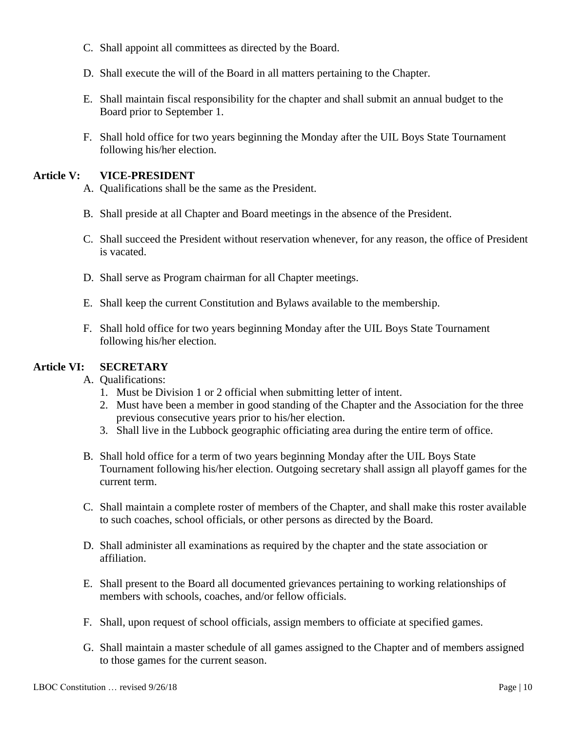- C. Shall appoint all committees as directed by the Board.
- D. Shall execute the will of the Board in all matters pertaining to the Chapter.
- E. Shall maintain fiscal responsibility for the chapter and shall submit an annual budget to the Board prior to September 1.
- F. Shall hold office for two years beginning the Monday after the UIL Boys State Tournament following his/her election.

## **Article V: VICE-PRESIDENT**

- A. Qualifications shall be the same as the President.
- B. Shall preside at all Chapter and Board meetings in the absence of the President.
- C. Shall succeed the President without reservation whenever, for any reason, the office of President is vacated.
- D. Shall serve as Program chairman for all Chapter meetings.
- E. Shall keep the current Constitution and Bylaws available to the membership.
- F. Shall hold office for two years beginning Monday after the UIL Boys State Tournament following his/her election.

## **Article VI: SECRETARY**

#### A. Qualifications:

- 1. Must be Division 1 or 2 official when submitting letter of intent.
- 2. Must have been a member in good standing of the Chapter and the Association for the three previous consecutive years prior to his/her election.
- 3. Shall live in the Lubbock geographic officiating area during the entire term of office.
- B. Shall hold office for a term of two years beginning Monday after the UIL Boys State Tournament following his/her election. Outgoing secretary shall assign all playoff games for the current term.
- C. Shall maintain a complete roster of members of the Chapter, and shall make this roster available to such coaches, school officials, or other persons as directed by the Board.
- D. Shall administer all examinations as required by the chapter and the state association or affiliation.
- E. Shall present to the Board all documented grievances pertaining to working relationships of members with schools, coaches, and/or fellow officials.
- F. Shall, upon request of school officials, assign members to officiate at specified games.
- G. Shall maintain a master schedule of all games assigned to the Chapter and of members assigned to those games for the current season.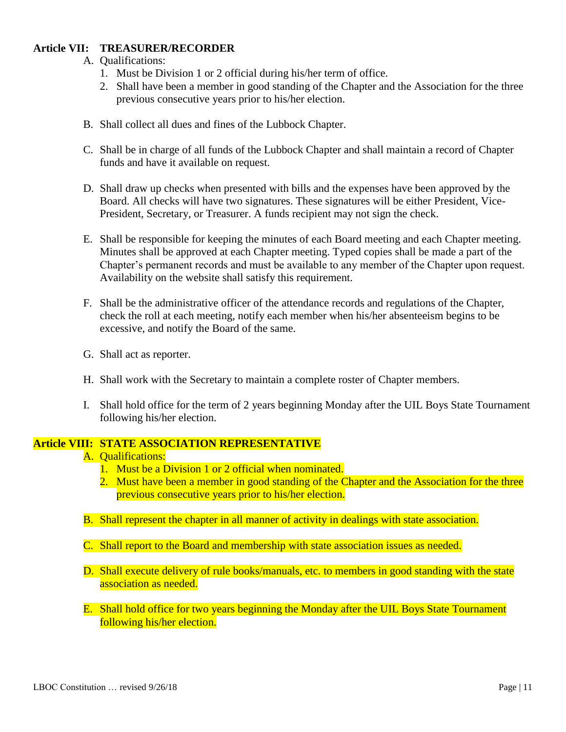# **Article VII: TREASURER/RECORDER**

- A. Qualifications:
	- 1. Must be Division 1 or 2 official during his/her term of office.
	- 2. Shall have been a member in good standing of the Chapter and the Association for the three previous consecutive years prior to his/her election.
- B. Shall collect all dues and fines of the Lubbock Chapter.
- C. Shall be in charge of all funds of the Lubbock Chapter and shall maintain a record of Chapter funds and have it available on request.
- D. Shall draw up checks when presented with bills and the expenses have been approved by the Board. All checks will have two signatures. These signatures will be either President, Vice-President, Secretary, or Treasurer. A funds recipient may not sign the check.
- E. Shall be responsible for keeping the minutes of each Board meeting and each Chapter meeting. Minutes shall be approved at each Chapter meeting. Typed copies shall be made a part of the Chapter's permanent records and must be available to any member of the Chapter upon request. Availability on the website shall satisfy this requirement.
- F. Shall be the administrative officer of the attendance records and regulations of the Chapter, check the roll at each meeting, notify each member when his/her absenteeism begins to be excessive, and notify the Board of the same.
- G. Shall act as reporter.
- H. Shall work with the Secretary to maintain a complete roster of Chapter members.
- I. Shall hold office for the term of 2 years beginning Monday after the UIL Boys State Tournament following his/her election.

# **Article VIII: STATE ASSOCIATION REPRESENTATIVE**

- A. Qualifications:
	- 1. Must be a Division 1 or 2 official when nominated.
	- 2. Must have been a member in good standing of the Chapter and the Association for the three previous consecutive years prior to his/her election.
- B. Shall represent the chapter in all manner of activity in dealings with state association.
- C. Shall report to the Board and membership with state association issues as needed.
- D. Shall execute delivery of rule books/manuals, etc. to members in good standing with the state association as needed.
- E. Shall hold office for two years beginning the Monday after the UIL Boys State Tournament following his/her election.